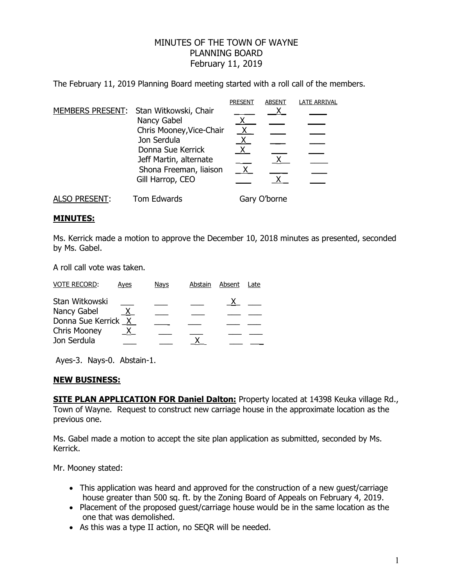## MINUTES OF THE TOWN OF WAYNE PLANNING BOARD February 11, 2019

The February 11, 2019 Planning Board meeting started with a roll call of the members.

|                      |                                                                                      | <b>PRESEN</b> | <b>ABSENT</b> | <b>LATE ARRIVAL</b> |
|----------------------|--------------------------------------------------------------------------------------|---------------|---------------|---------------------|
|                      | MEMBERS PRESENT: Stan Witkowski, Chair                                               |               |               |                     |
|                      | Nancy Gabel                                                                          |               |               |                     |
|                      | Chris Mooney, Vice-Chair                                                             |               |               |                     |
|                      | Jon Serdula<br>Donna Sue Kerrick<br>Jeff Martin, alternate<br>Shona Freeman, liaison | χ             |               |                     |
|                      |                                                                                      |               |               |                     |
|                      |                                                                                      |               |               |                     |
|                      |                                                                                      |               |               |                     |
|                      | Gill Harrop, CEO                                                                     |               |               |                     |
| <b>ALSO PRESENT:</b> | Tom Edwards                                                                          |               | Gary O'borne  |                     |

## **MINUTES:**

Ms. Kerrick made a motion to approve the December 10, 2018 minutes as presented, seconded by Ms. Gabel.

A roll call vote was taken.

| <b>VOTE RECORD:</b> | Ayes    | <b>Nays</b> | Abstain | Absent | Late |
|---------------------|---------|-------------|---------|--------|------|
| Stan Witkowski      |         |             |         |        |      |
| Nancy Gabel         | $X_{-}$ |             |         |        |      |
| Donna Sue Kerrick X |         |             |         |        |      |
| <b>Chris Mooney</b> | X.      |             |         |        |      |
| Jon Serdula         |         |             |         |        |      |

Ayes-3. Nays-0. Abstain-1.

## **NEW BUSINESS:**

**SITE PLAN APPLICATION FOR Daniel Dalton:** Property located at 14398 Keuka village Rd., Town of Wayne. Request to construct new carriage house in the approximate location as the previous one.

Ms. Gabel made a motion to accept the site plan application as submitted, seconded by Ms. Kerrick.

Mr. Mooney stated:

- This application was heard and approved for the construction of a new guest/carriage house greater than 500 sq. ft. by the Zoning Board of Appeals on February 4, 2019.
- Placement of the proposed guest/carriage house would be in the same location as the one that was demolished.
- As this was a type II action, no SEQR will be needed.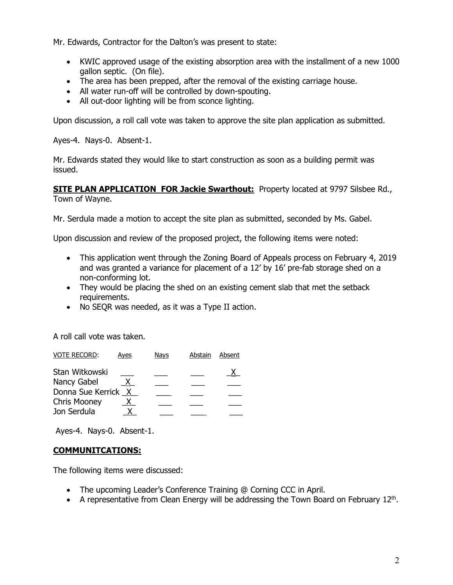Mr. Edwards, Contractor for the Dalton's was present to state:

- KWIC approved usage of the existing absorption area with the installment of a new 1000 gallon septic. (On file).
- The area has been prepped, after the removal of the existing carriage house.
- All water run-off will be controlled by down-spouting.
- All out-door lighting will be from sconce lighting.

Upon discussion, a roll call vote was taken to approve the site plan application as submitted.

Ayes-4. Nays-0. Absent-1.

Mr. Edwards stated they would like to start construction as soon as a building permit was issued.

**SITE PLAN APPLICATION FOR Jackie Swarthout:** Property located at 9797 Silsbee Rd., Town of Wayne.

Mr. Serdula made a motion to accept the site plan as submitted, seconded by Ms. Gabel.

Upon discussion and review of the proposed project, the following items were noted:

- This application went through the Zoning Board of Appeals process on February 4, 2019 and was granted a variance for placement of a 12' by 16' pre-fab storage shed on a non-conforming lot.
- They would be placing the shed on an existing cement slab that met the setback requirements.
- No SEQR was needed, as it was a Type II action.

A roll call vote was taken.

| <b>VOTE RECORD:</b> | Aves         | Navs | Abstain | Absent |
|---------------------|--------------|------|---------|--------|
| Stan Witkowski      |              |      |         |        |
| Nancy Gabel         |              |      |         |        |
| Donna Sue Kerrick   | $\mathsf{X}$ |      |         |        |
| <b>Chris Mooney</b> |              |      |         |        |
| Jon Serdula         |              |      |         |        |

Ayes-4. Nays-0. Absent-1.

## **COMMUNITCATIONS:**

The following items were discussed:

- The upcoming Leader's Conference Training @ Corning CCC in April.
- A representative from Clean Energy will be addressing the Town Board on February  $12<sup>th</sup>$ .